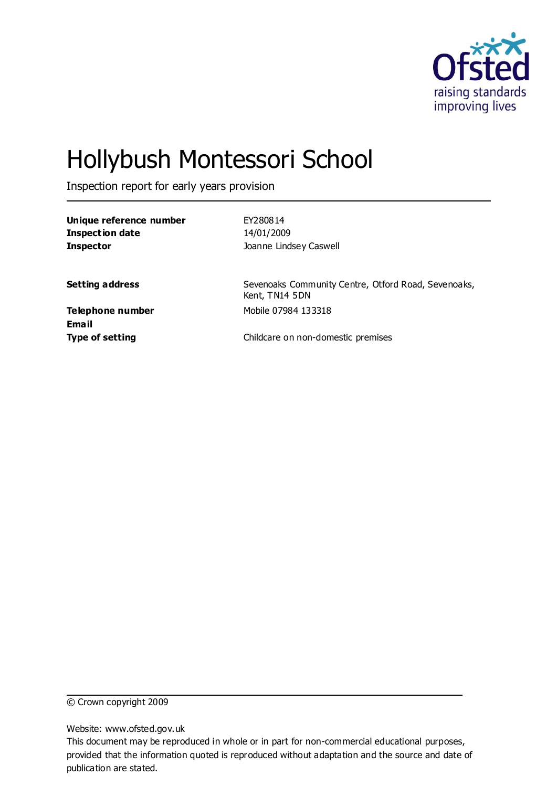

# Hollybush Montessori School

Inspection report for early years provision

| Unique reference number | EY280814               |
|-------------------------|------------------------|
| Inspection date         | 14/01/2009             |
| Inspector               | Joanne Lindsey Caswell |
|                         |                        |

**Setting address** Sevenoaks Community Centre, Otford Road, Sevenoaks, Kent, TN14 5DN **Telephone number** Mobile 07984 133318

**Email**

**Type of setting** Childcare on non-domestic premises

© Crown copyright 2009

Website: www.ofsted.gov.uk

This document may be reproduced in whole or in part for non-commercial educational purposes, provided that the information quoted is reproduced without adaptation and the source and date of publication are stated.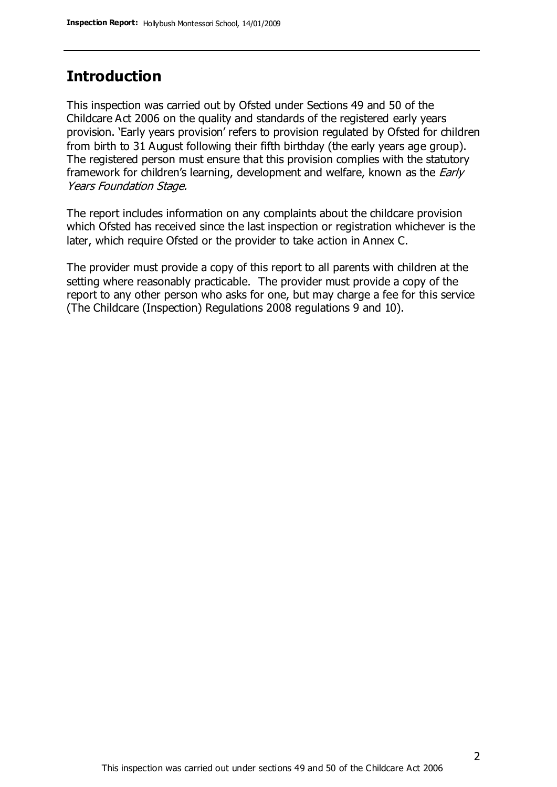#### **Introduction**

This inspection was carried out by Ofsted under Sections 49 and 50 of the Childcare Act 2006 on the quality and standards of the registered early years provision. 'Early years provision' refers to provision regulated by Ofsted for children from birth to 31 August following their fifth birthday (the early years age group). The registered person must ensure that this provision complies with the statutory framework for children's learning, development and welfare, known as the *Early* Years Foundation Stage.

The report includes information on any complaints about the childcare provision which Ofsted has received since the last inspection or registration whichever is the later, which require Ofsted or the provider to take action in Annex C.

The provider must provide a copy of this report to all parents with children at the setting where reasonably practicable. The provider must provide a copy of the report to any other person who asks for one, but may charge a fee for this service (The Childcare (Inspection) Regulations 2008 regulations 9 and 10).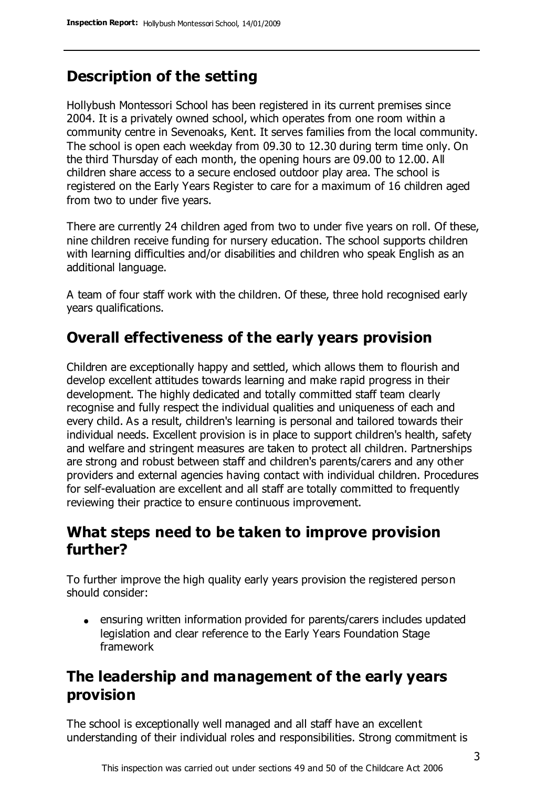# **Description of the setting**

Hollybush Montessori School has been registered in its current premises since 2004. It is a privately owned school, which operates from one room within a community centre in Sevenoaks, Kent. It serves families from the local community. The school is open each weekday from 09.30 to 12.30 during term time only. On the third Thursday of each month, the opening hours are 09.00 to 12.00. All children share access to a secure enclosed outdoor play area. The school is registered on the Early Years Register to care for a maximum of 16 children aged from two to under five years.

There are currently 24 children aged from two to under five years on roll. Of these, nine children receive funding for nursery education. The school supports children with learning difficulties and/or disabilities and children who speak English as an additional language.

A team of four staff work with the children. Of these, three hold recognised early years qualifications.

### **Overall effectiveness of the early years provision**

Children are exceptionally happy and settled, which allows them to flourish and develop excellent attitudes towards learning and make rapid progress in their development. The highly dedicated and totally committed staff team clearly recognise and fully respect the individual qualities and uniqueness of each and every child. As a result, children's learning is personal and tailored towards their individual needs. Excellent provision is in place to support children's health, safety and welfare and stringent measures are taken to protect all children. Partnerships are strong and robust between staff and children's parents/carers and any other providers and external agencies having contact with individual children. Procedures for self-evaluation are excellent and all staff are totally committed to frequently reviewing their practice to ensure continuous improvement.

#### **What steps need to be taken to improve provision further?**

To further improve the high quality early years provision the registered person should consider:

ensuring written information provided for parents/carers includes updated legislation and clear reference to the Early Years Foundation Stage framework

### **The leadership and management of the early years provision**

The school is exceptionally well managed and all staff have an excellent understanding of their individual roles and responsibilities. Strong commitment is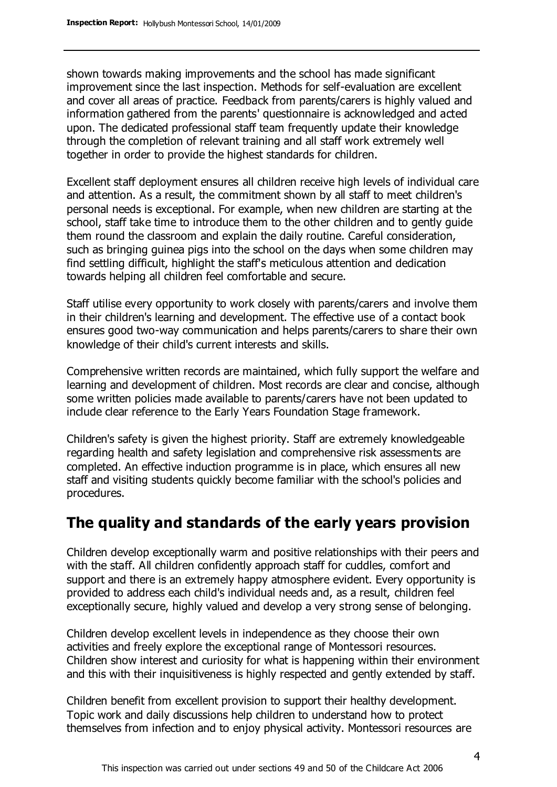shown towards making improvements and the school has made significant improvement since the last inspection. Methods for self-evaluation are excellent and cover all areas of practice. Feedback from parents/carers is highly valued and information gathered from the parents' questionnaire is acknowledged and acted upon. The dedicated professional staff team frequently update their knowledge through the completion of relevant training and all staff work extremely well together in order to provide the highest standards for children.

Excellent staff deployment ensures all children receive high levels of individual care and attention. As a result, the commitment shown by all staff to meet children's personal needs is exceptional. For example, when new children are starting at the school, staff take time to introduce them to the other children and to gently guide them round the classroom and explain the daily routine. Careful consideration, such as bringing guinea pigs into the school on the days when some children may find settling difficult, highlight the staff's meticulous attention and dedication towards helping all children feel comfortable and secure.

Staff utilise every opportunity to work closely with parents/carers and involve them in their children's learning and development. The effective use of a contact book ensures good two-way communication and helps parents/carers to share their own knowledge of their child's current interests and skills.

Comprehensive written records are maintained, which fully support the welfare and learning and development of children. Most records are clear and concise, although some written policies made available to parents/carers have not been updated to include clear reference to the Early Years Foundation Stage framework.

Children's safety is given the highest priority. Staff are extremely knowledgeable regarding health and safety legislation and comprehensive risk assessments are completed. An effective induction programme is in place, which ensures all new staff and visiting students quickly become familiar with the school's policies and procedures.

### **The quality and standards of the early years provision**

Children develop exceptionally warm and positive relationships with their peers and with the staff. All children confidently approach staff for cuddles, comfort and support and there is an extremely happy atmosphere evident. Every opportunity is provided to address each child's individual needs and, as a result, children feel exceptionally secure, highly valued and develop a very strong sense of belonging.

Children develop excellent levels in independence as they choose their own activities and freely explore the exceptional range of Montessori resources. Children show interest and curiosity for what is happening within their environment and this with their inquisitiveness is highly respected and gently extended by staff.

Children benefit from excellent provision to support their healthy development. Topic work and daily discussions help children to understand how to protect themselves from infection and to enjoy physical activity. Montessori resources are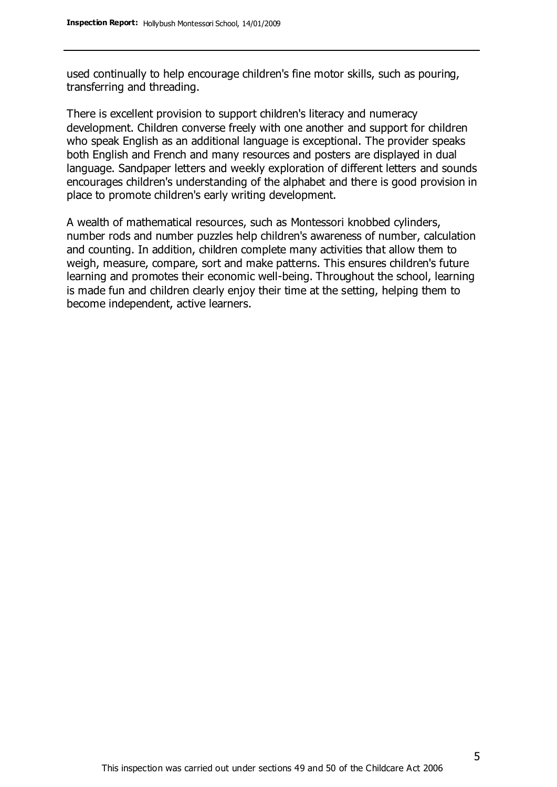used continually to help encourage children's fine motor skills, such as pouring, transferring and threading.

There is excellent provision to support children's literacy and numeracy development. Children converse freely with one another and support for children who speak English as an additional language is exceptional. The provider speaks both English and French and many resources and posters are displayed in dual language. Sandpaper letters and weekly exploration of different letters and sounds encourages children's understanding of the alphabet and there is good provision in place to promote children's early writing development.

A wealth of mathematical resources, such as Montessori knobbed cylinders, number rods and number puzzles help children's awareness of number, calculation and counting. In addition, children complete many activities that allow them to weigh, measure, compare, sort and make patterns. This ensures children's future learning and promotes their economic well-being. Throughout the school, learning is made fun and children clearly enjoy their time at the setting, helping them to become independent, active learners.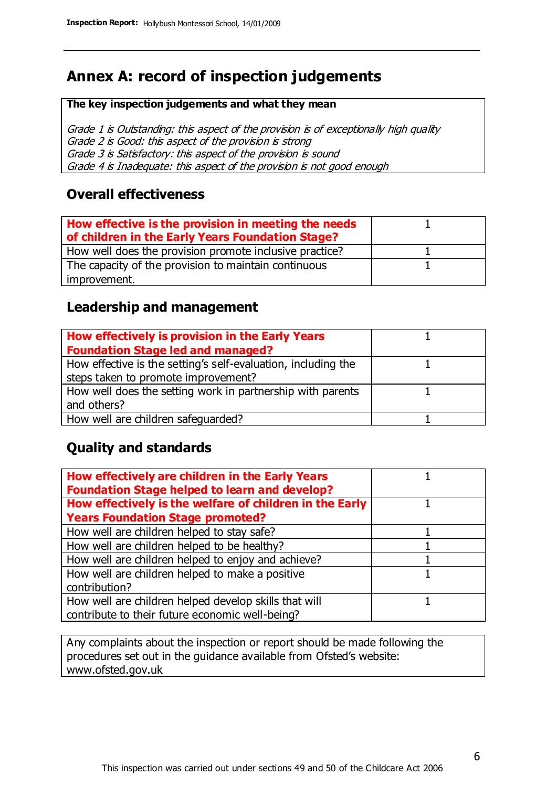# **Annex A: record of inspection judgements**

#### **The key inspection judgements and what they mean**

Grade 1 is Outstanding: this aspect of the provision is of exceptionally high quality Grade 2 is Good: this aspect of the provision is strong Grade 3 is Satisfactory: this aspect of the provision is sound Grade 4 is Inadequate: this aspect of the provision is not good enough

#### **Overall effectiveness**

| How effective is the provision in meeting the needs<br>of children in the Early Years Foundation Stage? |  |
|---------------------------------------------------------------------------------------------------------|--|
| How well does the provision promote inclusive practice?                                                 |  |
| The capacity of the provision to maintain continuous                                                    |  |
| improvement.                                                                                            |  |

#### **Leadership and management**

| How effectively is provision in the Early Years               |  |
|---------------------------------------------------------------|--|
| <b>Foundation Stage led and managed?</b>                      |  |
| How effective is the setting's self-evaluation, including the |  |
| steps taken to promote improvement?                           |  |
| How well does the setting work in partnership with parents    |  |
| and others?                                                   |  |
| How well are children safequarded?                            |  |

#### **Quality and standards**

| How effectively are children in the Early Years<br><b>Foundation Stage helped to learn and develop?</b> |  |
|---------------------------------------------------------------------------------------------------------|--|
| How effectively is the welfare of children in the Early                                                 |  |
| <b>Years Foundation Stage promoted?</b>                                                                 |  |
| How well are children helped to stay safe?                                                              |  |
| How well are children helped to be healthy?                                                             |  |
| How well are children helped to enjoy and achieve?                                                      |  |
| How well are children helped to make a positive                                                         |  |
| contribution?                                                                                           |  |
| How well are children helped develop skills that will                                                   |  |
| contribute to their future economic well-being?                                                         |  |

Any complaints about the inspection or report should be made following the procedures set out in the guidance available from Ofsted's website: www.ofsted.gov.uk